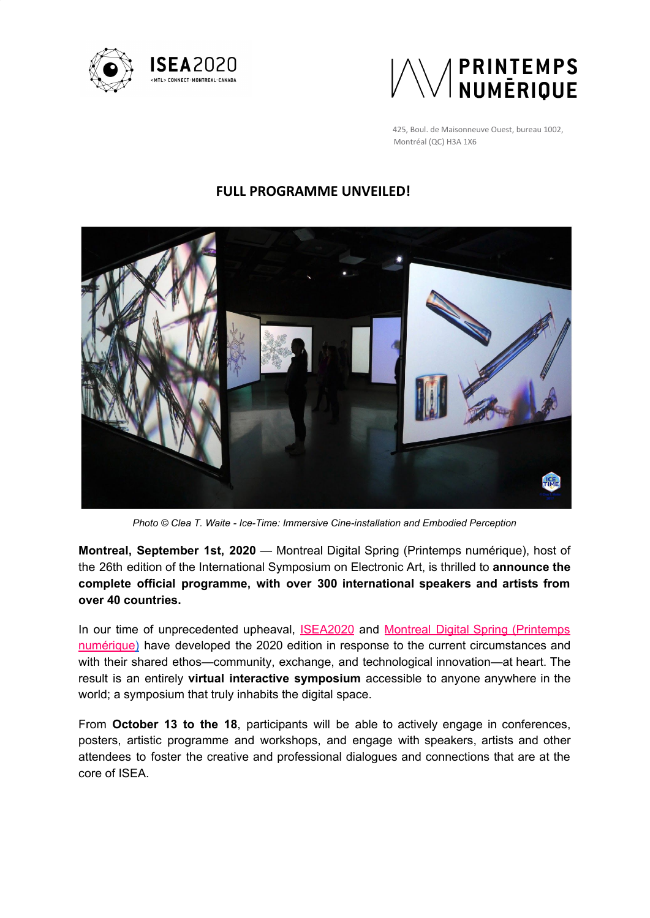



425, Boul. de Maisonneuve Ouest, bureau 1002, Montréal (QC) H3A 1X6

# **FULL PROGRAMME UNVEILED!**



*Photo © Clea T. Waite - Ice-Time: Immersive Cine-installation and Embodied Perception*

**Montreal, September 1st, 2020** — Montreal Digital Spring (Printemps numérique), host of the 26th edition of the International Symposium on Electronic Art, is thrilled to **announce the complete official programme, with over 300 international speakers and artists from over 40 countries.**

In our time of unprecedented upheaval, **[ISEA2020](http://isea2020.isea-international.org/)** and **Montreal Digital Spring [\(Printemps](https://www.printempsnumerique.ca/)** [numérique\)](https://www.printempsnumerique.ca/) have developed the 2020 edition in response to the current circumstances and with their shared ethos—community, exchange, and technological innovation—at heart. The result is an entirely **virtual interactive symposium** accessible to anyone anywhere in the world; a symposium that truly inhabits the digital space.

From **October 13 to the 18**, participants will be able to actively engage in conferences, posters, artistic programme and workshops, and engage with speakers, artists and other attendees to foster the creative and professional dialogues and connections that are at the core of ISEA.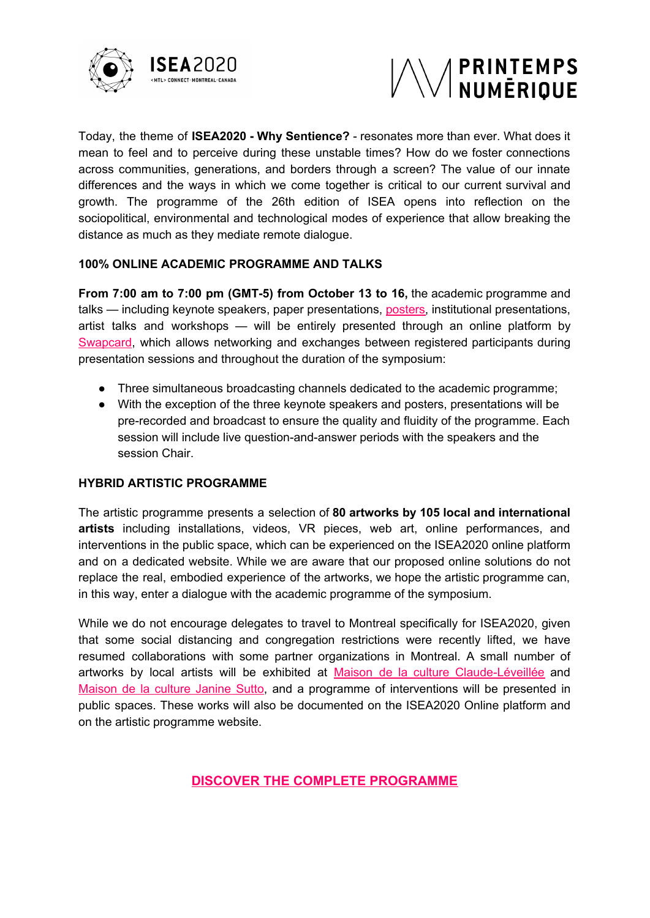



Today, the theme of **ISEA2020 - Why Sentience?** - resonates more than ever. What does it mean to feel and to perceive during these unstable times? How do we foster connections across communities, generations, and borders through a screen? The value of our innate differences and the ways in which we come together is critical to our current survival and growth. The programme of the 26th edition of ISEA opens into reflection on the sociopolitical, environmental and technological modes of experience that allow breaking the distance as much as they mediate remote dialogue.

### **100% ONLINE ACADEMIC PROGRAMME AND TALKS**

**From 7:00 am to 7:00 pm (GMT-5) from October 13 to 16,** the academic programme and talks — including keynote speakers, paper presentations, [posters](http://isea2020.isea-international.org/info-for-presenters/), institutional presentations, artist talks and workshops — will be entirely presented through an online platform by [Swapcard,](https://www.swapcard.com/) which allows networking and exchanges between registered participants during presentation sessions and throughout the duration of the symposium:

- Three simultaneous broadcasting channels dedicated to the academic programme;
- With the exception of the three keynote speakers and posters, presentations will be pre-recorded and broadcast to ensure the quality and fluidity of the programme. Each session will include live question-and-answer periods with the speakers and the session Chair.

#### **HYBRID ARTISTIC PROGRAMME**

The artistic programme presents a selection of **80 artworks by 105 local and international artists** including installations, videos, VR pieces, web art, online performances, and interventions in the public space, which can be experienced on the ISEA2020 online platform and on a dedicated website. While we are aware that our proposed online solutions do not replace the real, embodied experience of the artworks, we hope the artistic programme can, in this way, enter a dialogue with the academic programme of the symposium.

While we do not encourage delegates to travel to Montreal specifically for ISEA2020, given that some social distancing and congregation restrictions were recently lifted, we have resumed collaborations with some partner organizations in Montreal. A small number of artworks by local artists will be exhibited at Maison de la culture [Claude-Léveillée](https://montreal.ca/lieux/maison-de-la-culture-claude-leveillee) and [Maison](http://ville.montreal.qc.ca/culture/maison-de-la-culture-janine-sutto-frontenac) de la culture Janine Sutto, and a programme of interventions will be presented in public spaces. These works will also be documented on the ISEA2020 Online platform and on the artistic programme website.

**[DISCOVER THE COMPLETE PROGRAMME](https://isea2020.isea-international.org/timetable/)**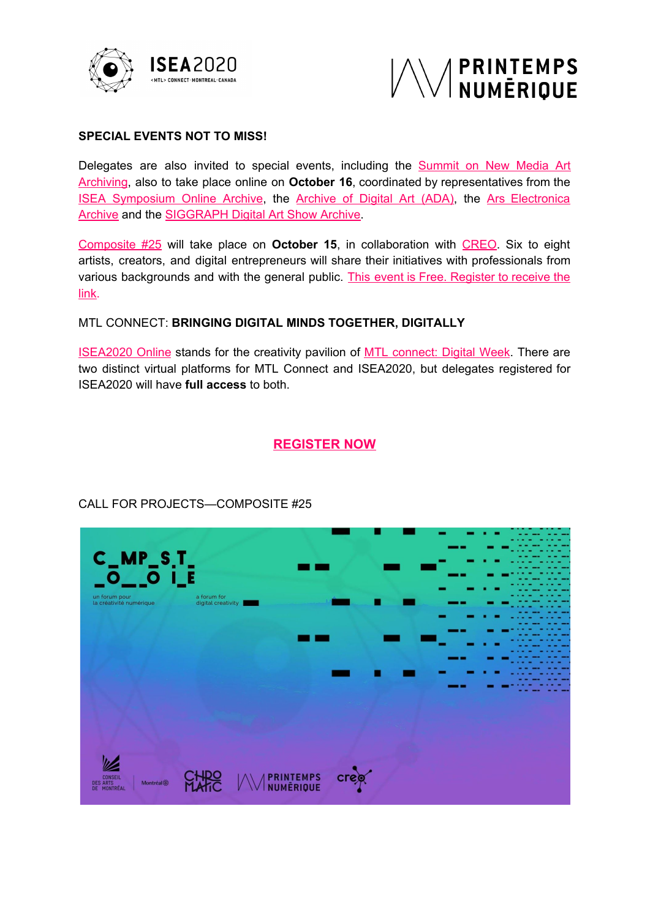



### **SPECIAL EVENTS NOT TO MISS!**

Delegates are also invited to special events, including the **[Summit](http://isea2020.isea-international.org/summit-on-new-media-art-archiving/) on New Media Art** [Archiving](http://isea2020.isea-international.org/summit-on-new-media-art-archiving/), also to take place online on **October 16**, coordinated by representatives from the ISEA [Symposium](http://www.isea-archives.org/?mc_cid=56ef49dd8b&mc_eid=%5BUNIQID%5D) Online Archive, the [Archive](http://www.virtualart.at/nc/home.html?mc_cid=56ef49dd8b&mc_eid=[UNIQID]) of Digital Art (ADA), the Ars [Electronica](https://ars.electronica.art/about/archiv/?mc_cid=56ef49dd8b&mc_eid=[UNIQID]) [Archive](https://ars.electronica.art/about/archiv/?mc_cid=56ef49dd8b&mc_eid=[UNIQID]) and the [SIGGRAPH](https://isea-archives.siggraph.org/?mc_cid=56ef49dd8b&mc_eid=%5BUNIQID%5D) Digital Art Show Archive.

[Composite](http://compositemtl.ca/) #25 will take place on **October 15**, in collaboration with [CREO.](https://creo.ca/fr/) Six to eight artists, creators, and digital entrepreneurs will share their initiatives with professionals from various backgrounds and with the general public. This event is Free. [Register](https://www.weezevent.com/composite-25) to receive the [link.](https://www.weezevent.com/composite-25)

### MTL CONNECT: **BRINGING DIGITAL MINDS TOGETHER, DIGITALLY**

[ISEA2020](http://isea2020.isea-international.org/) Online stands for the creativity pavilion of MTL [connect:](https://mtlconnecte.ca/en/) Digital Week. There are two distinct virtual platforms for MTL Connect and ISEA2020, but delegates registered for ISEA2020 will have **full access** to both.

## **[REGISTER NOW](http://isea2020.isea-international.org/registration/)**



# CALL FOR PROJECTS—COMPOSITE #25